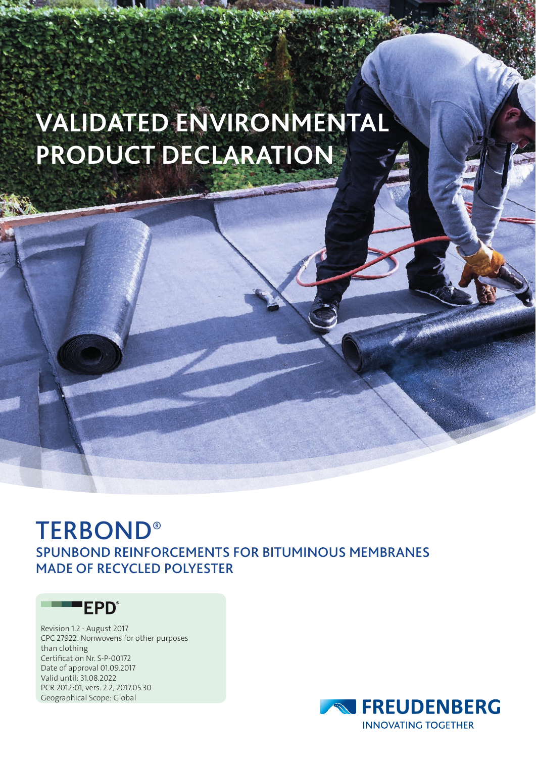# **VALIDATED ENVIRONMENTAL PRODUCT DECLARATION**

## **TERBOND®** SPUNBOND REINFORCEMENTS FOR BITUMINOUS MEMBRANES MADE OF RECYCLED POLYESTER

### **EPD**<sup>®</sup>

Revision 1.2 - August 2017 CPC 27922: Nonwovens for other purposes than clothing Certification Nr. S-P-00172 Date of approval 01.09.2017 Valid until: 31.08.2022 PCR 2012:01, vers. 2.2, 2017.05.30 Geographical Scope: Global

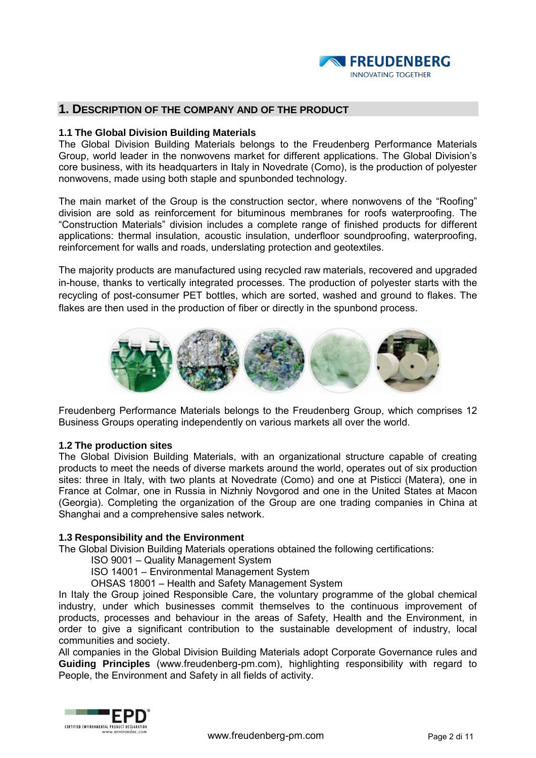

#### **1. DESCRIPTION OF THE COMPANY AND OF THE PRODUCT**

#### **1.1 The Global Division Building Materials**

The Global Division Building Materials belongs to the Freudenberg Performance Materials Group, world leader in the nonwovens market for different applications. The Global Division's core business, with its headquarters in Italy in Novedrate (Como), is the production of polyester nonwovens, made using both staple and spunbonded technology.

The main market of the Group is the construction sector, where nonwovens of the "Roofing" division are sold as reinforcement for bituminous membranes for roofs waterproofing. The "Construction Materials" division includes a complete range of finished products for different applications: thermal insulation, acoustic insulation, underfloor soundproofing, waterproofing, reinforcement for walls and roads, underslating protection and geotextiles.

The majority products are manufactured using recycled raw materials, recovered and upgraded in-house, thanks to vertically integrated processes. The production of polyester starts with the recycling of post-consumer PET bottles, which are sorted, washed and ground to flakes. The flakes are then used in the production of fiber or directly in the spunbond process.



Freudenberg Performance Materials belongs to the Freudenberg Group, which comprises 12 Business Groups operating independently on various markets all over the world.

#### **1.2 The production sites**

The Global Division Building Materials, with an organizational structure capable of creating products to meet the needs of diverse markets around the world, operates out of six production sites: three in Italy, with two plants at Novedrate (Como) and one at Pisticci (Matera), one in France at Colmar, one in Russia in Nizhniy Novgorod and one in the United States at Macon (Georgia). Completing the organization of the Group are one trading companies in China at Shanghai and a comprehensive sales network.

#### **1.3 Responsibility and the Environment**

The Global Division Building Materials operations obtained the following certifications:

ISO 9001 – Quality Management System

ISO 14001 – Environmental Management System

OHSAS 18001 – Health and Safety Management System

In Italy the Group joined Responsible Care, the voluntary programme of the global chemical industry, under which businesses commit themselves to the continuous improvement of products, processes and behaviour in the areas of Safety, Health and the Environment, in order to give a significant contribution to the sustainable development of industry, local communities and society.

All companies in the Global Division Building Materials adopt Corporate Governance rules and **Guiding Principles** (www.freudenberg-pm.com), highlighting responsibility with regard to People, the Environment and Safety in all fields of activity.

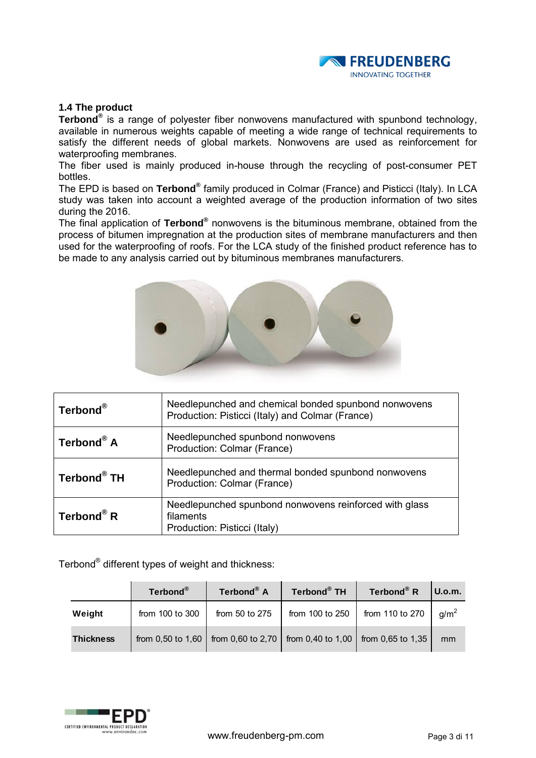

#### **1.4 The product**

**Terbond®** is a range of polyester fiber nonwovens manufactured with spunbond technology, available in numerous weights capable of meeting a wide range of technical requirements to satisfy the different needs of global markets. Nonwovens are used as reinforcement for waterproofing membranes.

The fiber used is mainly produced in-house through the recycling of post-consumer PET bottles.

The EPD is based on **Terbond®** family produced in Colmar (France) and Pisticci (Italy). In LCA study was taken into account a weighted average of the production information of two sites during the 2016.

The final application of **Terbond®** nonwovens is the bituminous membrane, obtained from the process of bitumen impregnation at the production sites of membrane manufacturers and then used for the waterproofing of roofs. For the LCA study of the finished product reference has to be made to any analysis carried out by bituminous membranes manufacturers.



| Terbond®                | Needlepunched and chemical bonded spunbond nonwovens<br>Production: Pisticci (Italy) and Colmar (France) |
|-------------------------|----------------------------------------------------------------------------------------------------------|
| Terbond® A              | Needlepunched spunbond nonwovens<br>Production: Colmar (France)                                          |
| Terbond <sup>®</sup> TH | Needlepunched and thermal bonded spunbond nonwovens<br>Production: Colmar (France)                       |
| Terbond <sup>®</sup> R  | Needlepunched spunbond nonwovens reinforced with glass<br>filaments<br>Production: Pisticci (Italy)      |

| Terbond $^{\circledast}$ different types of weight and thickness: |                   |                   |                   |                        |                  |  |  |  |
|-------------------------------------------------------------------|-------------------|-------------------|-------------------|------------------------|------------------|--|--|--|
|                                                                   | Terbond®          | Terbond® A        | Terbond® TH       | Terbond <sup>®</sup> R | U.o.m.           |  |  |  |
| Weight                                                            | from 100 to 300   | from 50 to 275    | from 100 to 250   | from 110 to 270        | g/m <sup>2</sup> |  |  |  |
| <b>Thickness</b>                                                  | from 0,50 to 1,60 | from 0,60 to 2,70 | from 0,40 to 1,00 | from 0,65 to 1,35      | mm               |  |  |  |

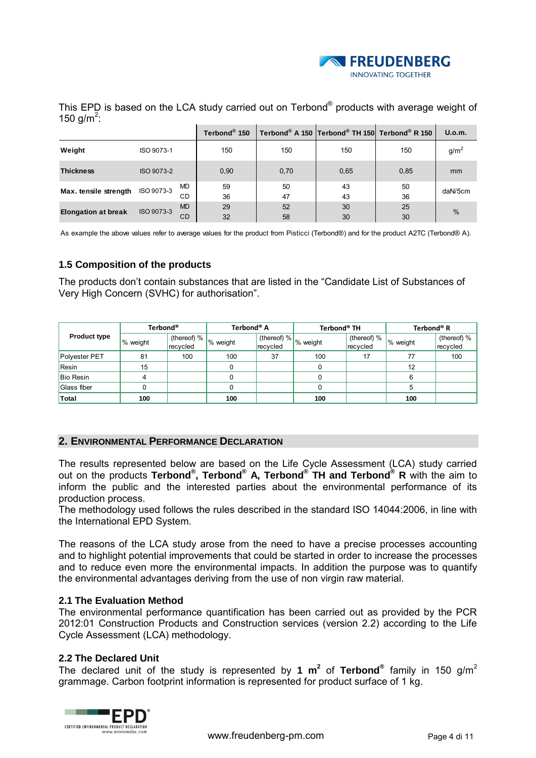

This EPD is based on the LCA study carried out on Terbond<sup>®</sup> products with average weight of 150 g/m<sup>2</sup>:  **150** Terbond<sup>®</sup> products with ave<br>
150 Terbond<sup>®</sup> A 150 Terbond<sup>®</sup> TH 150 Terbond<sup>®</sup>

|                                                                                                                                          |            |                 | Terbond <sup>®</sup> 150 |          | Terbond® A 150 Terbond® TH 150 Terbond® R 150 |          | U.o.m.           |
|------------------------------------------------------------------------------------------------------------------------------------------|------------|-----------------|--------------------------|----------|-----------------------------------------------|----------|------------------|
| Weight                                                                                                                                   | ISO 9073-1 |                 | 150                      | 150      | 150                                           | 150      | g/m <sup>2</sup> |
| <b>Thickness</b>                                                                                                                         | ISO 9073-2 |                 | 0,90                     | 0,70     | 0,65                                          | 0,85     | mm               |
| Max. tensile strength                                                                                                                    | ISO 9073-3 | <b>MD</b><br>СD | 59<br>36                 | 50<br>47 | 43<br>43                                      | 50<br>36 | daN/5cm          |
| <b>Elongation at break</b>                                                                                                               | ISO 9073-3 | <b>MD</b><br>CD | 29<br>32                 | 52<br>58 | 30<br>30                                      | 25<br>30 | $\frac{0}{0}$    |
| As accounts the chain interest infects consequently and the moderation Distinct (Technology) and feather and the technology (Technology) |            |                 |                          |          |                                               |          |                  |

As example the above values refer to average values for the product from Pisticci (Terbond®) and for the product A2TC (Terbond® A).

#### **1.5 Composition of the products**

The products don't contain substances that are listed in the "Candidate List of Substances of Very High Concern (SVHC) for authorisation".

|                     | Terbond <sup>®</sup> |                                | Terbond <sup>®</sup> A |          | Terbond <sup>®</sup> TH        |                         | Terbond® R |                         |
|---------------------|----------------------|--------------------------------|------------------------|----------|--------------------------------|-------------------------|------------|-------------------------|
| <b>Product type</b> | % weight             | (thereof) $% \mid$<br>recycled | % weight               | recycled | $\ $ (thereof) % $\ $ % weight | (thereof) %<br>recycled | % weight   | (thereof) %<br>recycled |
| Polyester PET       | 81                   | 100                            | 100                    | 37       | 100                            | 17                      | 77         | 100                     |
| Resin               | 15                   |                                |                        |          | 0                              |                         | 12         |                         |
| <b>Bio Resin</b>    |                      |                                |                        |          |                                |                         | 6          |                         |
| Glass fiber         |                      |                                |                        |          |                                |                         | 5          |                         |
| Total               | 100                  |                                | 100                    |          | 100                            |                         | 100        |                         |

#### **2. ENVIRONMENTAL PERFORMANCE DECLARATION**

The results represented below are based on the Life Cycle Assessment (LCA) study carried out on the products **Terbond® , Terbond® A, Terbond® TH and Terbond® R** with the aim to inform the public and the interested parties about the environmental performance of its production process.

The methodology used follows the rules described in the standard ISO 14044:2006, in line with the International EPD System.

The reasons of the LCA study arose from the need to have a precise processes accounting and to highlight potential improvements that could be started in order to increase the processes and to reduce even more the environmental impacts. In addition the purpose was to quantify the environmental advantages deriving from the use of non virgin raw material.

#### **2.1 The Evaluation Method**

The environmental performance quantification has been carried out as provided by the PCR 2012:01 Construction Products and Construction services (version 2.2) according to the Life Cycle Assessment (LCA) methodology.

#### **2.2 The Declared Unit**

The declared unit of the study is represented by 1  $m^2$  of Terbond<sup>®</sup> family in 150 g/m<sup>2</sup> grammage. Carbon footprint information is represented for product surface of 1 kg.

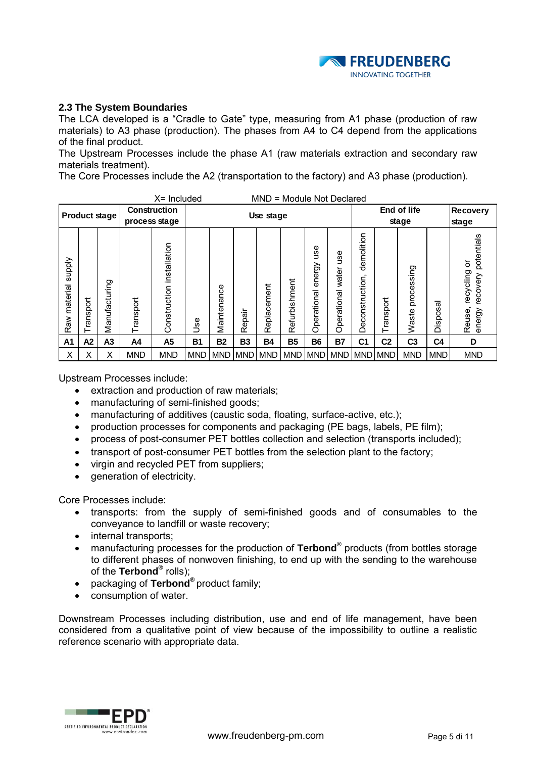

#### **2.3 The System Boundaries**

The LCA developed is a "Cradle to Gate" type, measuring from A1 phase (production of raw materials) to A3 phase (production). The phases from A4 to C4 depend from the applications of the final product.

The Upstream Processes include the phase A1 (raw materials extraction and secondary raw materials treatment).

The Core Processes include the A2 (transportation to the factory) and A3 phase (production).

|                                  | $X =$ Included<br>MND = Module Not Declared |                      |            |                                      |            |             |            |             |               |                             |                                         |                                 |                |                     |                    |                                                              |
|----------------------------------|---------------------------------------------|----------------------|------------|--------------------------------------|------------|-------------|------------|-------------|---------------|-----------------------------|-----------------------------------------|---------------------------------|----------------|---------------------|--------------------|--------------------------------------------------------------|
|                                  |                                             | <b>Product stage</b> |            | <b>Construction</b><br>process stage |            | Use stage   |            |             |               |                             |                                         | End of life<br>stage            |                |                     |                    | <b>Recovery</b><br>stage                                     |
| <b>Supply</b><br>material<br>Raw | Transport                                   | Manufacturing        | Transport  | installation<br>Construction         | <b>Jse</b> | Maintenance | Repair     | Replacement | Refurbishment | ge<br>energy<br>Operational | 9S<br>っ<br>water<br>nal<br>peratio<br>Ō | demolition<br>onstruction<br>Ŏe | Transport      | processing<br>Waste | ত<br>w<br>ğ<br>isi | potentials<br>৯<br>recycling<br>recovery<br>energy<br>Reuse, |
| A <sub>1</sub>                   | A2                                          | A3                   | A4         | A <sub>5</sub>                       | <b>B1</b>  | <b>B2</b>   | <b>B3</b>  | <b>B4</b>   | <b>B5</b>     | <b>B6</b>                   | <b>B7</b>                               | C <sub>1</sub>                  | C <sub>2</sub> | C <sub>3</sub>      | C <sub>4</sub>     | D                                                            |
| X                                | X                                           | X                    | <b>MND</b> | <b>MND</b>                           | <b>MND</b> | <b>MND</b>  | <b>MND</b> | <b>MND</b>  | <b>MND</b>    | <b>MND</b>                  | <b>MND</b>                              | MND MND                         |                | <b>MND</b>          | <b>MND</b>         | <b>MND</b>                                                   |

Upstream Processes include:

- extraction and production of raw materials;
- manufacturing of semi-finished goods;
- manufacturing of additives (caustic soda, floating, surface-active, etc.);
- production processes for components and packaging (PE bags, labels, PE film);
- process of post-consumer PET bottles collection and selection (transports included);
- transport of post-consumer PET bottles from the selection plant to the factory;
- virgin and recycled PET from suppliers;
- generation of electricity.

Core Processes include:

- transports: from the supply of semi-finished goods and of consumables to the conveyance to landfill or waste recovery;
- internal transports;
- manufacturing processes for the production of **Terbond®** products (from bottles storage to different phases of nonwoven finishing, to end up with the sending to the warehouse of the **Terbond®** rolls);
- packaging of **Terbond®** product family;
- consumption of water.

Downstream Processes including distribution, use and end of life management, have been considered from a qualitative point of view because of the impossibility to outline a realistic reference scenario with appropriate data.

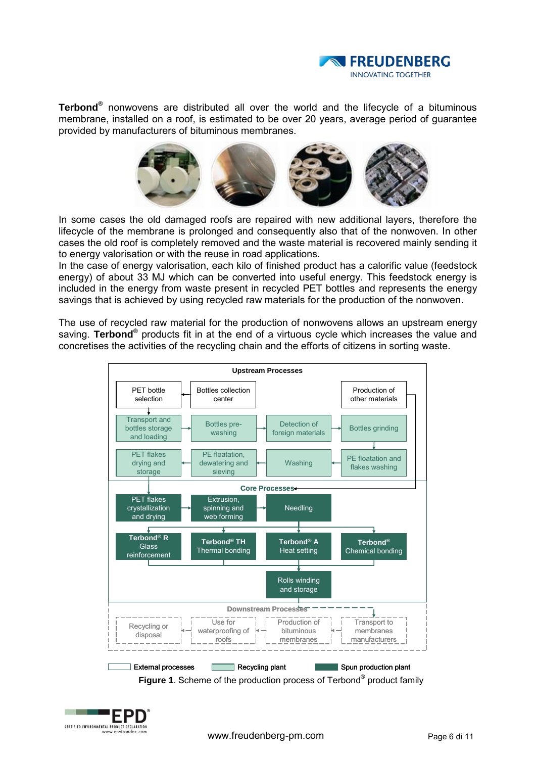

**Terbond®** nonwovens are distributed all over the world and the lifecycle of a bituminous membrane, installed on a roof, is estimated to be over 20 years, average period of guarantee provided by manufacturers of bituminous membranes.



In some cases the old damaged roofs are repaired with new additional layers, therefore the lifecycle of the membrane is prolonged and consequently also that of the nonwoven. In other cases the old roof is completely removed and the waste material is recovered mainly sending it to energy valorisation or with the reuse in road applications.

In the case of energy valorisation, each kilo of finished product has a calorific value (feedstock energy) of about 33 MJ which can be converted into useful energy. This feedstock energy is included in the energy from waste present in recycled PET bottles and represents the energy savings that is achieved by using recycled raw materials for the production of the nonwoven.

The use of recycled raw material for the production of nonwovens allows an upstream energy saving. Terbond<sup>®</sup> products fit in at the end of a virtuous cycle which increases the value and concretises the activities of the recycling chain and the efforts of citizens in sorting waste.



**Figure 1**. Scheme of the production process of Terbond<sup>®</sup> product family

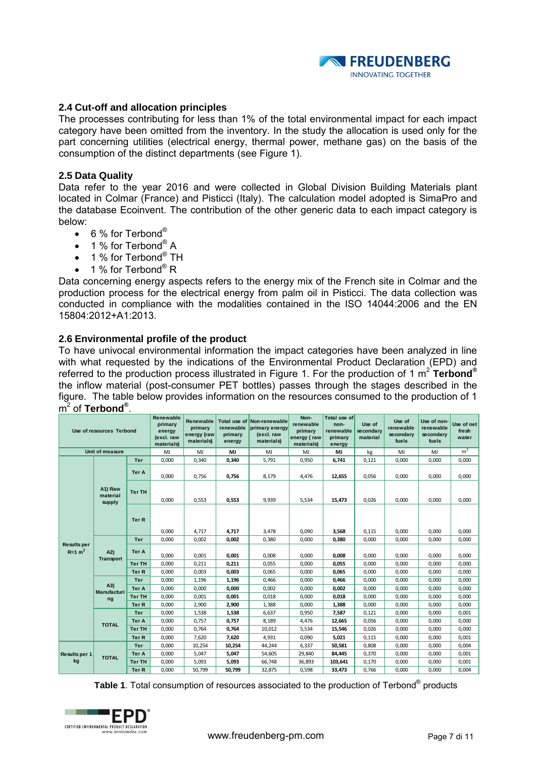

#### **2.4 Cut-off and allocation principles**

The processes contributing for less than 1% of the total environmental impact for each impact category have been omitted from the inventory. In the study the allocation is used only for the part concerning utilities (electrical energy, thermal power, methane gas) on the basis of the consumption of the distinct departments (see Figure 1).

#### **2.5 Data Quality**

Data refer to the year 2016 and were collected in Global Division Building Materials plant located in Colmar (France) and Pisticci (Italy). The calculation model adopted is SimaPro and the database Ecoinvent. The contribution of the other generic data to each impact category is below:

- $\bullet$  6 % for Terbond<sup>®</sup>
- 1 % for Terbond<sup>®</sup> A
- 1 % for Terbond $^{\circ}$  TH
- 1 % for Terbond<sup>®</sup> R

Data concerning energy aspects refers to the energy mix of the French site in Colmar and the production process for the electrical energy from palm oil in Pisticci. The data collection was conducted in compliance with the modalities contained in the ISO 14044:2006 and the EN 15804:2012+A1:2013.

#### **2.6 Environmental profile of the product**

To have univocal environmental information the impact categories have been analyzed in line with what requested by the indications of the Environmental Product Declaration (EPD) and referred to the production process illustrated in Figure 1. For the production of 1 m 2 **Terbond®** the inflow material (post-consumer PET bottles) passes through the stages described in the figure. The table below provides information on the resources consumed to the production of 1 m 2 of **Terbond®** .

| Use of resources Terbond       |                               |               | Renewable<br>primary<br>energy<br>(excl. raw<br>materials) | Renewable<br>primary<br>energy (raw<br>materials) | renewable<br>primary<br>energy | Total use of Non-renewable<br>primary energy<br>(excl. raw<br>materials) | Non-<br>renewable<br>primary<br>energy (raw<br>materials) | Total use of<br>non-<br>renewable<br>primary<br>energy | Use of<br>secondary<br>material | Use of<br>renewable<br>secondary<br>fuels | Use of non-<br>renewable<br>secondary<br>fuels | Use of net<br>fresh<br>water |
|--------------------------------|-------------------------------|---------------|------------------------------------------------------------|---------------------------------------------------|--------------------------------|--------------------------------------------------------------------------|-----------------------------------------------------------|--------------------------------------------------------|---------------------------------|-------------------------------------------|------------------------------------------------|------------------------------|
|                                | Unit of measure               |               | MJ                                                         | MJ                                                | MJ                             | MJ                                                                       | MJ                                                        | MJ                                                     | kg                              | MJ                                        | MJ                                             | m <sup>3</sup>               |
|                                |                               | Ter           | 0,000                                                      | 0,340                                             | 0,340                          | 5,791                                                                    | 0,950                                                     | 6,741                                                  | 0,121                           | 0,000                                     | 0,000                                          | 0,000                        |
|                                |                               | Ter A         | 0,000                                                      | 0,756                                             | 0,756                          | 8,179                                                                    | 4,476                                                     | 12,655                                                 | 0,056                           | 0,000                                     | 0,000                                          | 0,000                        |
|                                | A1) Raw<br>material<br>supply | <b>Ter TH</b> | 0,000                                                      | 0,553                                             | 0,553                          | 9,939                                                                    | 5,534                                                     | 15,473                                                 | 0,026                           | 0,000                                     | 0,000                                          | 0,000                        |
|                                |                               | Ter R         | 0,000                                                      | 4,717                                             | 4,717                          | 3,478                                                                    | 0,090                                                     | 3,568                                                  | 0,115                           | 0,000                                     | 0,000                                          | 0.000                        |
|                                |                               | Ter           | 0,000                                                      | 0,002                                             | 0,002                          | 0,380                                                                    | 0,000                                                     | 0,380                                                  | 0,000                           | 0,000                                     | 0,000                                          | 0,000                        |
| <b>Results per</b><br>$R=1 m2$ | A2)<br><b>Transport</b>       | Ter A         | 0,000                                                      | 0,001                                             | 0,001                          | 0,008                                                                    | 0,000                                                     | 0,008                                                  | 0,000                           | 0,000                                     | 0,000                                          | 0,000                        |
|                                |                               | <b>Ter TH</b> | 0,000                                                      | 0,211                                             | 0,211                          | 0,055                                                                    | 0,000                                                     | 0.055                                                  | 0,000                           | 0,000                                     | 0,000                                          | 0,000                        |
|                                |                               | Ter R         | 0,000                                                      | 0,003                                             | 0,003                          | 0,065                                                                    | 0,000                                                     | 0,065                                                  | 0,000                           | 0,000                                     | 0,000                                          | 0,000                        |
|                                |                               | <b>Ter</b>    | 0,000                                                      | 1,196                                             | 1,196                          | 0,466                                                                    | 0,000                                                     | 0,466                                                  | 0,000                           | 0,000                                     | 0,000                                          | 0,000                        |
|                                | (A3)                          | Ter A         | 0,000                                                      | 0,000                                             | 0,000                          | 0,002                                                                    | 0,000                                                     | 0,002                                                  | 0,000                           | 0,000                                     | 0,000                                          | 0,000                        |
|                                | <b>Manufacturi</b><br>ng      | <b>Ter TH</b> | 0,000                                                      | 0,001                                             | 0,001                          | 0,018                                                                    | 0,000                                                     | 0,018                                                  | 0,000                           | 0,000                                     | 0,000                                          | 0,000                        |
|                                |                               | Ter R         | 0,000                                                      | 2,900                                             | 2,900                          | 1,388                                                                    | 0,000                                                     | 1,388                                                  | 0,000                           | 0,000                                     | 0,000                                          | 0,000                        |
|                                |                               | <b>Ter</b>    | 0,000                                                      | 1,538                                             | 1,538                          | 6,637                                                                    | 0,950                                                     | 7.587                                                  | 0,121                           | 0,000                                     | 0,000                                          | 0.001                        |
|                                | <b>TOTAL</b>                  | Ter A         | 0,000                                                      | 0,757                                             | 0,757                          | 8,189                                                                    | 4,476                                                     | 12,665                                                 | 0,056                           | 0,000                                     | 0,000                                          | 0,000                        |
|                                |                               | <b>Ter TH</b> | 0,000                                                      | 0,764                                             | 0,764                          | 10,012                                                                   | 5,534                                                     | 15,546                                                 | 0,026                           | 0,000                                     | 0,000                                          | 0,000                        |
|                                |                               | Ter R         | 0,000                                                      | 7,620                                             | 7,620                          | 4,931                                                                    | 0,090                                                     | 5,021                                                  | 0,115                           | 0,000                                     | 0,000                                          | 0.001                        |
|                                |                               | Ter           | 0,000                                                      | 10,254                                            | 10,254                         | 44,244                                                                   | 6,337                                                     | 50,581                                                 | 0,808                           | 0,000                                     | 0,000                                          | 0,004                        |
| <b>Results per 1</b>           | <b>TOTAL</b>                  | Ter A         | 0,000                                                      | 5,047                                             | 5,047                          | 54,605                                                                   | 29,840                                                    | 84.445                                                 | 0,370                           | 0,000                                     | 0,000                                          | 0,001                        |
| kg                             |                               | <b>Ter TH</b> | 0,000                                                      | 5,093                                             | 5,093                          | 66,748                                                                   | 36,893                                                    | 103,641                                                | 0,170                           | 0,000                                     | 0,000                                          | 0,001                        |
|                                |                               | Ter R         | 0,000                                                      | 50,799                                            | 50,799                         | 32,875                                                                   | 0,598                                                     | 33,473                                                 | 0,766                           | 0,000                                     | 0,000                                          | 0,004                        |

**Table 1**. Total consumption of resources associated to the production of Terbond® products

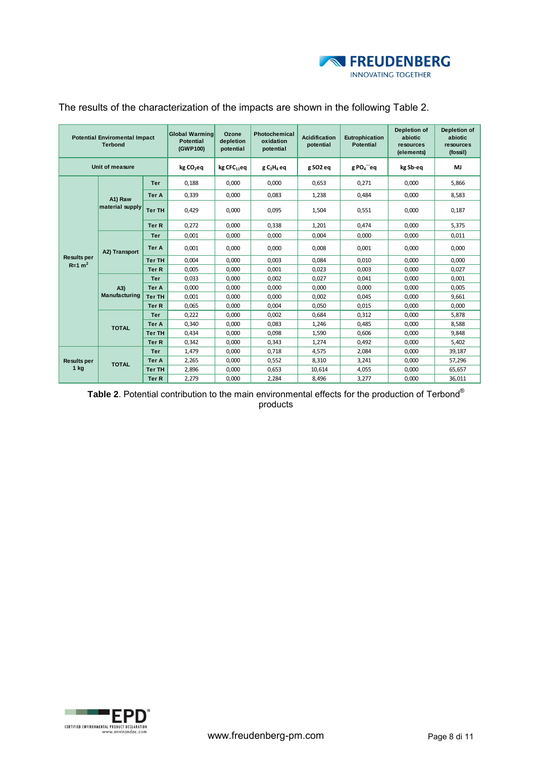

| <b>Potential Enviromental Impact</b><br><b>Terbond</b> |                      |               | <b>Global Warming</b><br><b>Potential</b><br>(GWP100) | Ozone<br>depletion<br>potential | Photochemical<br>oxidation<br>potential | <b>Acidification</b><br>potential | Eutrophication<br><b>Potential</b> | Depletion of<br>abiotic<br>resources<br>(elements) | Depletion of<br>abiotic<br>resources<br>(fossil) |
|--------------------------------------------------------|----------------------|---------------|-------------------------------------------------------|---------------------------------|-----------------------------------------|-----------------------------------|------------------------------------|----------------------------------------------------|--------------------------------------------------|
|                                                        | Unit of measure      |               | kg CO <sub>2</sub> eq                                 | $kg$ CFC $_{11}$ eq             | $g C2H4$ eq                             | g SO <sub>2</sub> eq              | $g$ PO $_a$ <sup>---</sup> eq      | kg Sb-eq                                           | MJ                                               |
|                                                        |                      | <b>Ter</b>    | 0,188                                                 | 0,000                           | 0,000                                   | 0,653                             | 0,271                              | 0,000                                              | 5,866                                            |
|                                                        | A1) Raw              | <b>Ter A</b>  | 0,339                                                 | 0,000                           | 0,083                                   | 1,238                             | 0,484                              | 0,000                                              | 8,583                                            |
|                                                        | material supply      | <b>Ter TH</b> | 0,429                                                 | 0,000                           | 0,095                                   | 1,504                             | 0,551                              | 0,000                                              | 0,187                                            |
|                                                        |                      | Ter R         | 0,272                                                 | 0.000                           | 0,338                                   | 1,201                             | 0.474                              | 0.000                                              | 5,375                                            |
|                                                        | A2) Transport        | <b>Ter</b>    | 0,001                                                 | 0,000                           | 0.000                                   | 0.004                             | 0.000                              | 0,000                                              | 0,011                                            |
|                                                        |                      | Ter A         | 0,001                                                 | 0,000                           | 0,000                                   | 0,008                             | 0,001                              | 0,000                                              | 0,000                                            |
| <b>Results per</b><br>$R=1$ m <sup>2</sup>             |                      | <b>Ter TH</b> | 0.004                                                 | 0,000                           | 0.003                                   | 0.084                             | 0.010                              | 0.000                                              | 0.000                                            |
|                                                        |                      | Ter R         | 0,005                                                 | 0,000                           | 0,001                                   | 0,023                             | 0,003                              | 0,000                                              | 0,027                                            |
|                                                        |                      | <b>Ter</b>    | 0,033                                                 | 0,000                           | 0,002                                   | 0,027                             | 0,041                              | 0,000                                              | 0,001                                            |
|                                                        | (A3)                 | Ter A         | 0,000                                                 | 0.000                           | 0.000                                   | 0.000                             | 0.000                              | 0,000                                              | 0,005                                            |
|                                                        | <b>Manufacturing</b> | <b>Ter TH</b> | 0,001                                                 | 0,000                           | 0,000                                   | 0,002                             | 0,045                              | 0,000                                              | 9,661                                            |
|                                                        |                      | Ter R         | 0,065                                                 | 0,000                           | 0,004                                   | 0.050                             | 0.015                              | 0,000                                              | 0,000                                            |
|                                                        |                      | <b>Ter</b>    | 0,222                                                 | 0,000                           | 0,002                                   | 0.684                             | 0,312                              | 0,000                                              | 5,878                                            |
|                                                        | <b>TOTAL</b>         | Ter A         | 0,340                                                 | 0,000                           | 0.083                                   | 1,246                             | 0.485                              | 0.000                                              | 8,588                                            |
|                                                        |                      | <b>Ter TH</b> | 0,434                                                 | 0,000                           | 0,098                                   | 1,590                             | 0,606                              | 0,000                                              | 9,848                                            |
|                                                        |                      | Ter R         | 0,342                                                 | 0,000                           | 0,343                                   | 1,274                             | 0,492                              | 0,000                                              | 5,402                                            |
|                                                        |                      | <b>Ter</b>    | 1.479                                                 | 0.000                           | 0.718                                   | 4.575                             | 2.084                              | 0.000                                              | 39.187                                           |
| <b>Results per</b>                                     | <b>TOTAL</b>         | Ter A         | 2,265                                                 | 0,000                           | 0,552                                   | 8,310                             | 3,241                              | 0,000                                              | 57,296                                           |
| $1$ kg                                                 |                      | <b>Ter TH</b> | 2,896                                                 | 0,000                           | 0,653                                   | 10,614                            | 4,055                              | 0,000                                              | 65,657                                           |
|                                                        |                      | Ter R         | 2,279                                                 | 0,000                           | 2,284                                   | 8,496                             | 3,277                              | 0,000                                              | 36,011                                           |

#### The results of the characterization of the impacts are shown in the following Table 2.

**Table 2**. Potential contribution to the main environmental effects for the production of Terbond® products

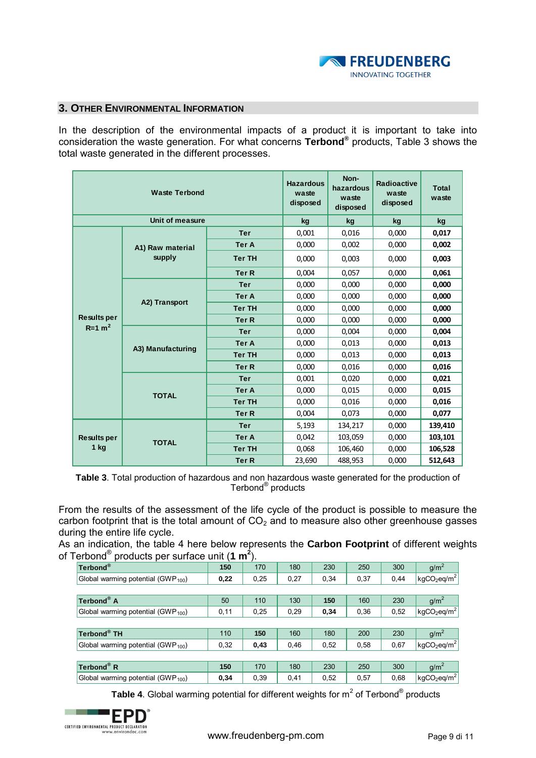

#### **3. OTHER ENVIRONMENTAL INFORMATION**

In the description of the environmental impacts of a product it is important to take into consideration the waste generation. For what concerns **Terbond®** products, Table 3 shows the total waste generated in the different processes.

|                      | <b>Waste Terbond</b> |                  | <b>Hazardous</b><br>waste<br>disposed | Non-<br>hazardous<br>waste<br>disposed | Radioactive<br>waste<br>disposed | <b>Total</b><br>waste |
|----------------------|----------------------|------------------|---------------------------------------|----------------------------------------|----------------------------------|-----------------------|
|                      | Unit of measure      |                  | kg                                    | kg                                     | kg                               | kg                    |
|                      |                      | <b>Ter</b>       | 0.001                                 | 0,016                                  | 0,000                            | 0,017                 |
|                      | A1) Raw material     | <b>Ter A</b>     | 0,000                                 | 0,002                                  | 0,000                            | 0,002                 |
|                      | supply               | <b>Ter TH</b>    | 0,000                                 | 0,003                                  | 0,000                            | 0,003                 |
|                      |                      | <b>Ter R</b>     | 0,004                                 | 0,057                                  | 0,000                            | 0,061                 |
|                      |                      | <b>Ter</b>       | 0,000                                 | 0,000                                  | 0.000                            | 0,000                 |
|                      | A2) Transport        | <b>Ter A</b>     | 0,000                                 | 0,000                                  | 0,000                            | 0,000                 |
|                      |                      | <b>Ter TH</b>    | 0,000                                 | 0,000                                  | 0,000                            | 0,000                 |
| <b>Results per</b>   |                      | <b>Ter R</b>     | 0,000                                 | 0,000                                  | 0,000                            | 0,000                 |
| $R=1$ m <sup>2</sup> |                      | <b>Ter</b>       | 0,000                                 | 0,004                                  | 0,000                            | 0,004                 |
|                      | A3) Manufacturing    | <b>Ter A</b>     | 0.000                                 | 0,013                                  | 0,000                            | 0.013                 |
|                      |                      | <b>Ter TH</b>    | 0,000                                 | 0,013                                  | 0,000                            | 0,013                 |
|                      |                      | Ter <sub>R</sub> | 0,000                                 | 0,016                                  | 0,000                            | 0,016                 |
|                      |                      | <b>Ter</b>       | 0,001                                 | 0,020                                  | 0,000                            | 0,021                 |
|                      | <b>TOTAL</b>         | <b>Ter A</b>     | 0,000                                 | 0,015                                  | 0,000                            | 0,015                 |
|                      |                      | <b>Ter TH</b>    | 0,000                                 | 0,016                                  | 0,000                            | 0,016                 |
|                      |                      | <b>Ter R</b>     | 0,004                                 | 0,073                                  | 0,000                            | 0,077                 |
|                      |                      | <b>Ter</b>       | 5,193                                 | 134,217                                | 0,000                            | 139,410               |
| <b>Results per</b>   | <b>TOTAL</b>         | <b>Ter A</b>     | 0,042                                 | 103,059                                | 0,000                            | 103,101               |
| $1$ kg               |                      | <b>Ter TH</b>    | 0,068                                 | 106,460                                | 0,000                            | 106,528               |
|                      |                      | <b>Ter R</b>     | 23,690                                | 488,953                                | 0,000                            | 512,643               |

**Table 3**. Total production of hazardous and non hazardous waste generated for the production of Terbond® products

From the results of the assessment of the life cycle of the product is possible to measure the carbon footprint that is the total amount of  $CO<sub>2</sub>$  and to measure also other greenhouse gasses during the entire life cycle.

As an indication, the table 4 here below represents the **Carbon Footprint** of different weights of Terbond<sup>®</sup> products per surface unit  $(1 \text{ m}^2)$ .<br> **Terbond<sup>®</sup> 150** 170 180 230 250 300 g/m<sup>2</sup> of Terbond® products per surface unit (**1 m<sup>2</sup>** ).

| Terbond®                                       | 150   | 170  | 180  | 230  | 250  | 300  | g/m <sup>2</sup>                         |
|------------------------------------------------|-------|------|------|------|------|------|------------------------------------------|
| Global warming potential (GWP <sub>100</sub> ) | 0,22  | 0,25 | 0,27 | 0,34 | 0,37 | 0,44 | kgCO <sub>2</sub> eq/m <sup>2</sup>      |
|                                                |       |      |      |      |      |      |                                          |
| Terbond <sup>®</sup> A                         | 50    | 110  | 130  | 150  | 160  | 230  | q/m <sup>2</sup>                         |
| Global warming potential (GWP <sub>100</sub> ) | 0, 11 | 0,25 | 0,29 | 0,34 | 0,36 | 0,52 | $kgCO_2$ eq/m <sup>2</sup>               |
|                                                |       |      |      |      |      |      |                                          |
| Terbond <sup>®</sup> TH                        | 110   | 150  | 160  | 180  | 200  | 230  | g/m <sup>2</sup>                         |
| Global warming potential (GWP <sub>100</sub> ) | 0,32  | 0,43 | 0,46 | 0,52 | 0,58 | 0.67 | kgCO <sub>2</sub> eq/m <sup>2</sup>      |
|                                                |       |      |      |      |      |      |                                          |
| $Terbond^{\circledR}$ R                        | 150   | 170  | 180  | 230  | 250  | 300  | g/m <sup>2</sup>                         |
| Global warming potential (GWP <sub>100</sub> ) | 0,34  | 0,39 | 0,41 | 0,52 | 0,57 | 0,68 | $\left  \text{kgCO}_2$ eq/m <sup>2</sup> |

**Table 4**. Global warming potential for different weights for  $m^2$  of Terbond® products

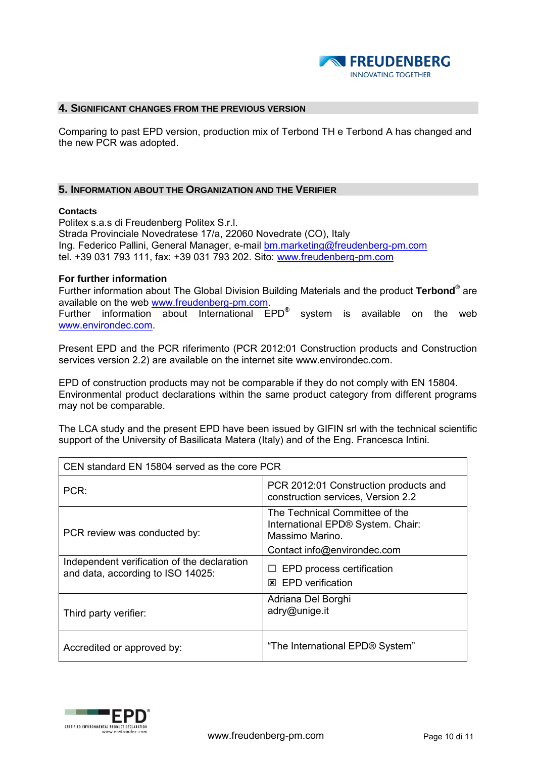

#### **4. SIGNIFICANT CHANGES FROM THE PREVIOUS VERSION**

Comparing to past EPD version, production mix of Terbond TH e Terbond A has changed and the new PCR was adopted.

#### **5. INFORMATION ABOUT THE ORGANIZATION AND THE VERIFIER**

#### **Contacts**

Politex s.a.s di Freudenberg Politex S.r.l. Strada Provinciale Novedratese 17/a, 22060 Novedrate (CO), Italy Ing. Federico Pallini, General Manager, e-mail **bm.marketing@freudenberg-pm.com** tel. +39 031 793 111, fax: +39 031 793 202. Sito: [www.freudenberg-pm.com](http://www.freudenberg-pm.com/)

#### **For further information**

Further information about The Global Division Building Materials and the product **Terbond®** are available on the web [www.freudenberg-pm.com.](http://www.freudenberg-pm.com/) Further information about International EPD<sup>®</sup> system is available on the web [www.environdec.com.](http://www.environdec.com/)

Present EPD and the PCR riferimento (PCR 2012:01 Construction products and Construction services version 2.2) are available on the internet site www.environdec.com.

EPD of construction products may not be comparable if they do not comply with EN 15804. Environmental product declarations within the same product category from different programs may not be comparable.

The LCA study and the present EPD have been issued by GIFIN srl with the technical scientific support of the University of Basilicata Matera (Italy) and of the Eng. Francesca Intini.

| CEN standard EN 15804 served as the core PCR                                     |                                                                                                                       |  |  |  |  |  |
|----------------------------------------------------------------------------------|-----------------------------------------------------------------------------------------------------------------------|--|--|--|--|--|
| PCR:                                                                             | PCR 2012:01 Construction products and<br>construction services, Version 2.2                                           |  |  |  |  |  |
| PCR review was conducted by:                                                     | The Technical Committee of the<br>International EPD® System. Chair:<br>Massimo Marino.<br>Contact info@environdec.com |  |  |  |  |  |
| Independent verification of the declaration<br>and data, according to ISO 14025: | $\Box$ EPD process certification<br><b>EPD</b> verification<br>⊠                                                      |  |  |  |  |  |
| Third party verifier:                                                            | Adriana Del Borghi<br>adry@unige.it                                                                                   |  |  |  |  |  |
| Accredited or approved by:                                                       | "The International EPD® System"                                                                                       |  |  |  |  |  |